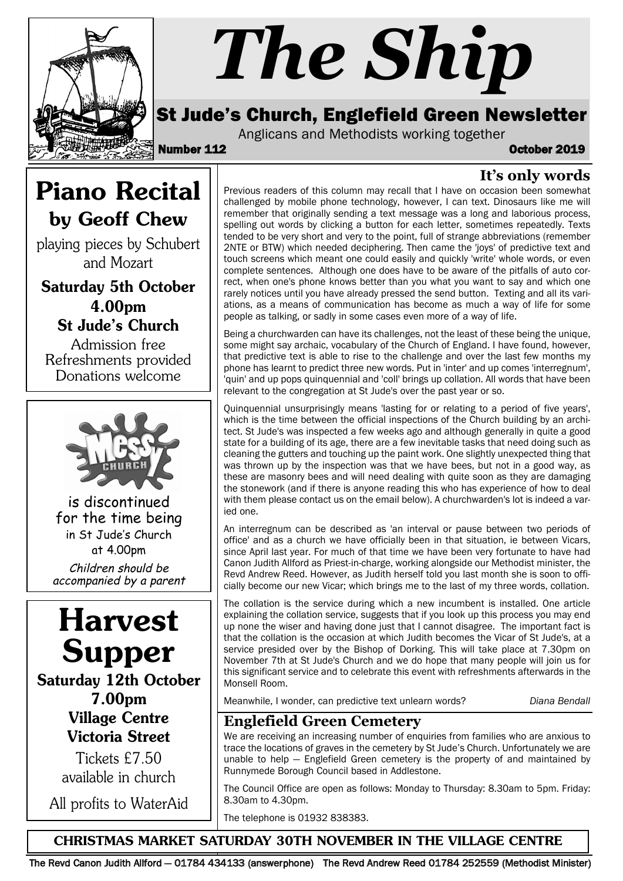

# *The Ship*

### St Jude's Church, Englefield Green Newsletter

Anglicans and Methodists working together

Number 112 October 2019

**It's only words**

## Piano Recital by Geoff Chew

playing pieces by Schubert and Mozart

Saturday 5th October 4.00pm St Jude's Church

Admission free Refreshments provided Donations welcome



is discontinued for the time being in St Jude's Church at 4.00pm Children should be accompanied by a parent

## Harvest Supper

Saturday 12th October 7.00pm Village Centre Victoria Street

Tickets £7.50 available in church

All profits to WaterAid

Previous readers of this column may recall that I have on occasion been somewhat challenged by mobile phone technology, however, I can text. Dinosaurs like me will remember that originally sending a text message was a long and laborious process, spelling out words by clicking a button for each letter, sometimes repeatedly. Texts tended to be very short and very to the point, full of strange abbreviations (remember 2NTE or BTW) which needed deciphering. Then came the 'joys' of predictive text and touch screens which meant one could easily and quickly 'write' whole words, or even complete sentences. Although one does have to be aware of the pitfalls of auto correct, when one's phone knows better than you what you want to say and which one rarely notices until you have already pressed the send button. Texting and all its variations, as a means of communication has become as much a way of life for some people as talking, or sadly in some cases even more of a way of life.

Being a churchwarden can have its challenges, not the least of these being the unique, some might say archaic, vocabulary of the Church of England. I have found, however, that predictive text is able to rise to the challenge and over the last few months my phone has learnt to predict three new words. Put in 'inter' and up comes 'interregnum', 'quin' and up pops quinquennial and 'coll' brings up collation. All words that have been relevant to the congregation at St Jude's over the past year or so.

Quinquennial unsurprisingly means 'lasting for or relating to a period of five years', which is the time between the official inspections of the Church building by an architect. St Jude's was inspected a few weeks ago and although generally in quite a good state for a building of its age, there are a few inevitable tasks that need doing such as cleaning the gutters and touching up the paint work. One slightly unexpected thing that was thrown up by the inspection was that we have bees, but not in a good way, as these are masonry bees and will need dealing with quite soon as they are damaging the stonework (and if there is anyone reading this who has experience of how to deal with them please contact us on the email below). A churchwarden's lot is indeed a varied one.

An interregnum can be described as 'an interval or pause between two periods of office' and as a church we have officially been in that situation, ie between Vicars, since April last year. For much of that time we have been very fortunate to have had Canon Judith Allford as Priest-in-charge, working alongside our Methodist minister, the Revd Andrew Reed. However, as Judith herself told you last month she is soon to officially become our new Vicar; which brings me to the last of my three words, collation.

The collation is the service during which a new incumbent is installed. One article explaining the collation service, suggests that if you look up this process you may end up none the wiser and having done just that I cannot disagree. The important fact is that the collation is the occasion at which Judith becomes the Vicar of St Jude's, at a service presided over by the Bishop of Dorking. This will take place at 7.30pm on November 7th at St Jude's Church and we do hope that many people will join us for this significant service and to celebrate this event with refreshments afterwards in the Monsell Room.

Meanwhile, I wonder, can predictive text unlearn words? *Diana Bendall*

#### **Englefield Green Cemetery**

We are receiving an increasing number of enquiries from families who are anxious to trace the locations of graves in the cemetery by St Jude's Church. Unfortunately we are unable to help — Englefield Green cemetery is the property of and maintained by Runnymede Borough Council based in Addlestone.

The Council Office are open as follows: Monday to Thursday: 8.30am to 5pm. Friday: 8.30am to 4.30pm.

The telephone is 01932 838383.

CHRISTMAS MARKET SATURDAY 30TH NOVEMBER IN THE VILLAGE CENTRE